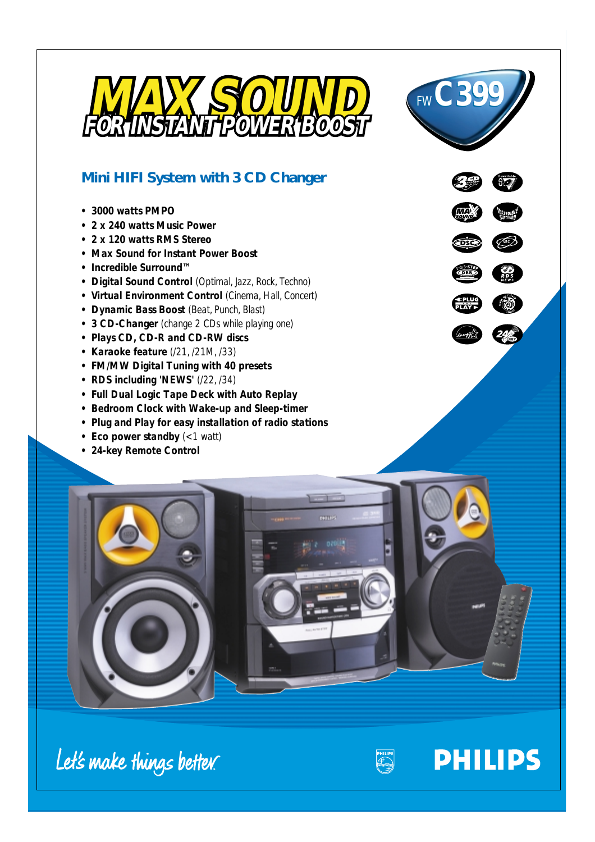



# **Mini HIFI System with 3 CD Changer**

- *3000 watts PMPO*
- *2 x 240 watts Music Power*
- *2 x 120 watts RMS Stereo*
- *Max Sound for Instant Power Boost*
- *Incredible Surround™*
- *Digital Sound Control (Optimal, Jazz, Rock, Techno)*
- *Virtual Environment Control (Cinema, Hall, Concert)*
- *Dynamic Bass Boost (Beat, Punch, Blast)*
- *3 CD-Changer (change 2 CDs while playing one)*
- *Plays CD, CD-R and CD-RW discs*
- *Karaoke feature (/21, /21M, /33)*
- *FM/MW Digital Tuning with 40 presets*
- *RDS including 'NEWS' (/22, /34)*
- *Full Dual Logic Tape Deck with Auto Replay*
- *Bedroom Clock with Wake-up and Sleep-timer*
- *Plug and Play for easy installation of radio stations*
- *Eco power standby (<1 watt)*
- *24-key Remote Control*





Let's make things better.



**PHILIPS**